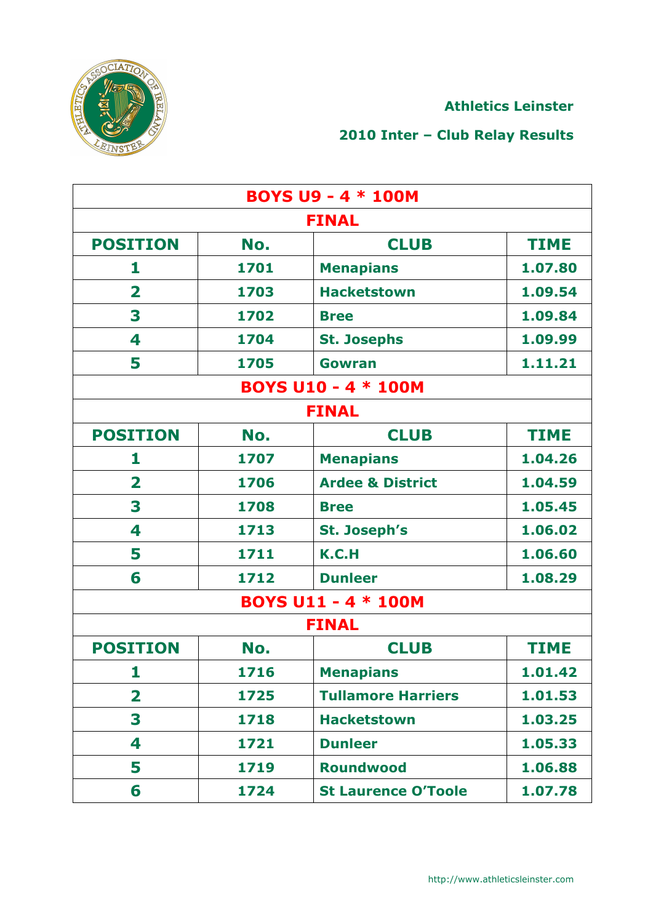

| <b>BOYS U9 - 4 * 100M</b>  |                            |                             |             |  |  |  |  |
|----------------------------|----------------------------|-----------------------------|-------------|--|--|--|--|
| <b>FINAL</b>               |                            |                             |             |  |  |  |  |
| <b>POSITION</b>            | No.                        | <b>CLUB</b>                 | <b>TIME</b> |  |  |  |  |
| 1                          | 1701                       | <b>Menapians</b>            | 1.07.80     |  |  |  |  |
| $\overline{\mathbf{2}}$    | 1703                       | <b>Hacketstown</b>          | 1.09.54     |  |  |  |  |
| 3                          | 1702                       | <b>Bree</b>                 | 1.09.84     |  |  |  |  |
| 4                          | 1704                       | <b>St. Josephs</b>          | 1.09.99     |  |  |  |  |
| 5                          | 1705                       | <b>Gowran</b>               | 1.11.21     |  |  |  |  |
|                            | <b>BOYS U10 - 4 * 100M</b> |                             |             |  |  |  |  |
| <b>FINAL</b>               |                            |                             |             |  |  |  |  |
| <b>POSITION</b>            | No.                        | <b>CLUB</b>                 | <b>TIME</b> |  |  |  |  |
| 1                          | 1707                       | <b>Menapians</b>            | 1.04.26     |  |  |  |  |
| $\overline{\mathbf{2}}$    | 1706                       | <b>Ardee &amp; District</b> | 1.04.59     |  |  |  |  |
| 3                          | 1708                       | <b>Bree</b>                 | 1.05.45     |  |  |  |  |
| 4                          | 1713                       | <b>St. Joseph's</b>         | 1.06.02     |  |  |  |  |
| 5                          | 1711                       | K.C.H                       | 1.06.60     |  |  |  |  |
| 6                          | 1712                       | <b>Dunleer</b>              | 1.08.29     |  |  |  |  |
| <b>BOYS U11 - 4 * 100M</b> |                            |                             |             |  |  |  |  |
|                            | <b>FINAL</b>               |                             |             |  |  |  |  |
| <b>POSITION</b>            | No.                        | <b>CLUB</b>                 | <b>TIME</b> |  |  |  |  |
| 1                          | 1716                       | <b>Menapians</b>            | 1.01.42     |  |  |  |  |
| $\mathbf{2}$               | 1725                       | <b>Tullamore Harriers</b>   | 1.01.53     |  |  |  |  |
| 3                          | 1718                       | <b>Hacketstown</b>          | 1.03.25     |  |  |  |  |
| 4                          | 1721                       | <b>Dunleer</b>              | 1.05.33     |  |  |  |  |
| 5                          | 1719                       | <b>Roundwood</b>            | 1.06.88     |  |  |  |  |
| 6                          | 1724                       | <b>St Laurence O'Toole</b>  | 1.07.78     |  |  |  |  |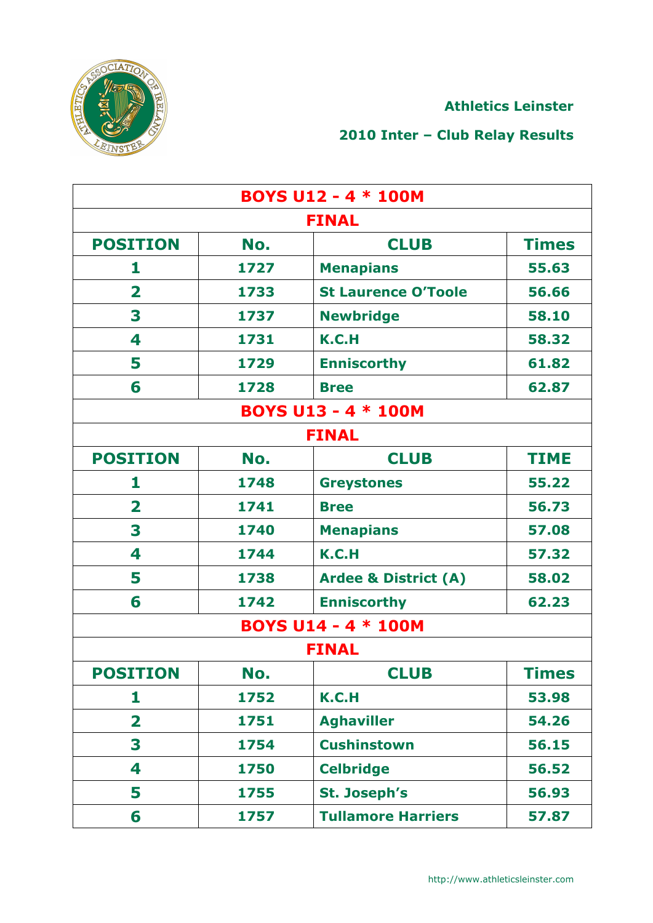

| <b>BOYS U12 - 4 * 100M</b> |                            |                                 |              |  |  |  |
|----------------------------|----------------------------|---------------------------------|--------------|--|--|--|
| <b>FINAL</b>               |                            |                                 |              |  |  |  |
| <b>POSITION</b>            | No.                        | <b>CLUB</b>                     | <b>Times</b> |  |  |  |
| 1                          | 1727                       | <b>Menapians</b>                | 55.63        |  |  |  |
| $\overline{\mathbf{2}}$    | 1733                       | <b>St Laurence O'Toole</b>      | 56.66        |  |  |  |
| 3                          | 1737                       | <b>Newbridge</b>                | 58.10        |  |  |  |
| 4                          | 1731                       | K.C.H                           | 58.32        |  |  |  |
| 5                          | 1729                       | <b>Enniscorthy</b>              | 61.82        |  |  |  |
| 6                          | 1728                       | <b>Bree</b>                     | 62.87        |  |  |  |
|                            | <b>BOYS U13 - 4 * 100M</b> |                                 |              |  |  |  |
|                            | <b>FINAL</b>               |                                 |              |  |  |  |
| <b>POSITION</b>            | No.                        | <b>CLUB</b>                     | <b>TIME</b>  |  |  |  |
| 1                          | 1748                       | <b>Greystones</b>               | 55.22        |  |  |  |
| $\overline{\mathbf{2}}$    | 1741                       | <b>Bree</b>                     | 56.73        |  |  |  |
| 3                          | 1740                       | <b>Menapians</b>                | 57.08        |  |  |  |
| 4                          | 1744                       | K.C.H                           | 57.32        |  |  |  |
| 5                          | 1738                       | <b>Ardee &amp; District (A)</b> | 58.02        |  |  |  |
| 6                          | 1742                       | <b>Enniscorthy</b>              | 62.23        |  |  |  |
|                            | <b>BOYS U14 - 4 * 100M</b> |                                 |              |  |  |  |
| <b>FINAL</b>               |                            |                                 |              |  |  |  |
| POSITION                   | No.                        | <b>CLUB</b>                     | <b>Times</b> |  |  |  |
| 1                          | 1752                       | K.C.H                           | 53.98        |  |  |  |
| $\mathbf{2}$               | 1751                       | <b>Aghaviller</b>               | 54.26        |  |  |  |
| 3                          | 1754                       | <b>Cushinstown</b>              | 56.15        |  |  |  |
| 4                          | 1750                       | <b>Celbridge</b>                | 56.52        |  |  |  |
| 5                          | 1755                       | <b>St. Joseph's</b>             | 56.93        |  |  |  |
| 6                          | 1757                       | <b>Tullamore Harriers</b>       | 57.87        |  |  |  |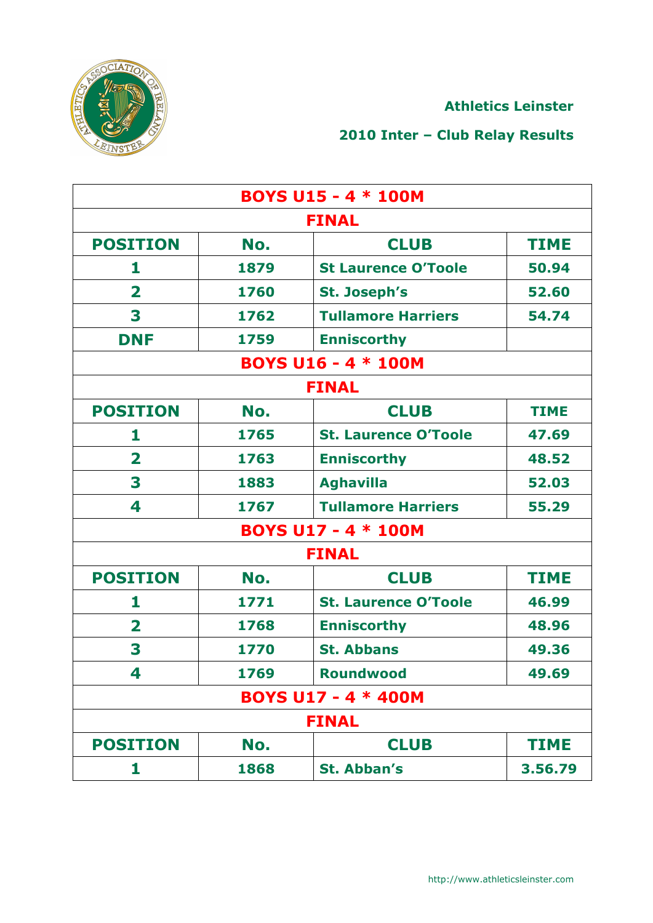

| <b>BOYS U15 - 4 * 100M</b> |              |                             |             |  |  |  |
|----------------------------|--------------|-----------------------------|-------------|--|--|--|
| <b>FINAL</b>               |              |                             |             |  |  |  |
| <b>POSITION</b>            | No.          | <b>CLUB</b>                 | <b>TIME</b> |  |  |  |
| 1                          | 1879         | <b>St Laurence O'Toole</b>  | 50.94       |  |  |  |
| $\overline{\mathbf{2}}$    | 1760         | <b>St. Joseph's</b>         | 52.60       |  |  |  |
| 3                          | 1762         | <b>Tullamore Harriers</b>   | 54.74       |  |  |  |
| <b>DNF</b>                 | 1759         | <b>Enniscorthy</b>          |             |  |  |  |
| <b>BOYS U16 - 4 * 100M</b> |              |                             |             |  |  |  |
| <b>FINAL</b>               |              |                             |             |  |  |  |
| <b>POSITION</b>            | No.          | <b>CLUB</b>                 | <b>TIME</b> |  |  |  |
| 1                          | 1765         | <b>St. Laurence O'Toole</b> | 47.69       |  |  |  |
| $\overline{\mathbf{2}}$    | 1763         | <b>Enniscorthy</b>          | 48.52       |  |  |  |
| 3                          | 1883         | <b>Aghavilla</b>            | 52.03       |  |  |  |
| 4                          | 1767         | <b>Tullamore Harriers</b>   | 55.29       |  |  |  |
| <b>BOYS U17 - 4 * 100M</b> |              |                             |             |  |  |  |
|                            | <b>FINAL</b> |                             |             |  |  |  |
| <b>POSITION</b>            | No.          | <b>CLUB</b>                 | <b>TIME</b> |  |  |  |
| 1                          | 1771         | <b>St. Laurence O'Toole</b> | 46.99       |  |  |  |
| $\overline{\mathbf{2}}$    | 1768         | <b>Enniscorthy</b>          | 48.96       |  |  |  |
| 3                          | 1770         | <b>St. Abbans</b>           | 49.36       |  |  |  |
| 4                          | 1769         | <b>Roundwood</b>            | 49.69       |  |  |  |
| <b>BOYS U17 - 4 * 400M</b> |              |                             |             |  |  |  |
| <b>FINAL</b>               |              |                             |             |  |  |  |
| <b>POSITION</b>            | No.          | <b>CLUB</b>                 | <b>TIME</b> |  |  |  |
| 1                          | 1868         | <b>St. Abban's</b>          | 3.56.79     |  |  |  |